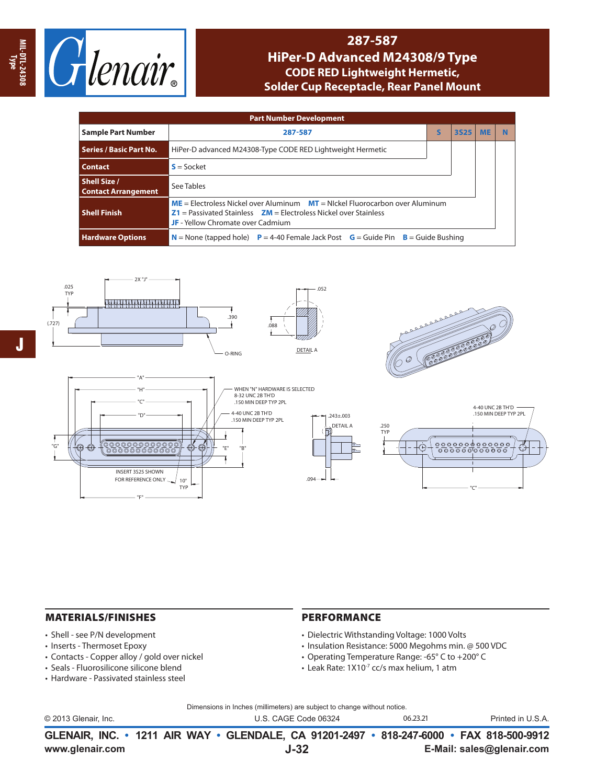

## **287-587**

## **HiPer-D Advanced M24308/9 Type CODE RED Lightweight Hermetic, Solder Cup Receptacle, Rear Panel Mount**

| <b>Part Number Development</b>                    |                                                                                                                                                                                                      |   |             |           |   |  |  |  |  |  |
|---------------------------------------------------|------------------------------------------------------------------------------------------------------------------------------------------------------------------------------------------------------|---|-------------|-----------|---|--|--|--|--|--|
| <b>Sample Part Number</b>                         | 287-587                                                                                                                                                                                              | S | <b>3S25</b> | <b>ME</b> | N |  |  |  |  |  |
| <b>Series / Basic Part No.</b>                    | HiPer-D advanced M24308-Type CODE RED Lightweight Hermetic                                                                                                                                           |   |             |           |   |  |  |  |  |  |
| <b>Contact</b>                                    | $S = S$ ocket                                                                                                                                                                                        |   |             |           |   |  |  |  |  |  |
| <b>Shell Size /</b><br><b>Contact Arrangement</b> | See Tables                                                                                                                                                                                           |   |             |           |   |  |  |  |  |  |
| <b>Shell Finish</b>                               | $ME =$ Electroless Nickel over Aluminum $MT =$ Nickel Fluorocarbon over Aluminum<br>$Z1 =$ Passivated Stainless $ZM =$ Electroless Nickel over Stainless<br><b>JF</b> - Yellow Chromate over Cadmium |   |             |           |   |  |  |  |  |  |
| <b>Hardware Options</b>                           | $N =$ None (tapped hole) $P = 4-40$ Female Jack Post $G =$ Guide Pin $B =$ Guide Bushing                                                                                                             |   |             |           |   |  |  |  |  |  |



## MATERIALS/FINISHES

- Shell see P/N development
- Inserts Thermoset Epoxy
- Contacts Copper alloy / gold over nickel

"F"

- Seals Fluorosilicone silicone blend
- Hardware Passivated stainless steel

## PERFORMANCE

- Dielectric Withstanding Voltage: 1000 Volts
- Insulation Resistance: 5000 Megohms min. @ 500 VDC
- Operating Temperature Range: -65° C to +200° C
- Leak Rate: 1X10-7 cc/s max helium, 1 atm

Dimensions in Inches (millimeters) are subject to change without notice.

|                      | GLENAIR, INC. • 1211 AIR WAY • GLENDALE, CA 91201-2497 • 818-247-6000 • FAX 818-500-9912 |          |                   |
|----------------------|------------------------------------------------------------------------------------------|----------|-------------------|
| © 2013 Glenair, Inc. | U.S. CAGE Code 06324                                                                     | 06.23.21 | Printed in U.S.A. |

**J-32**

**www.glenair.com E-Mail: sales@glenair.com**

**MIL-DTL-24308 MIL-DTL-24308**<br>Type